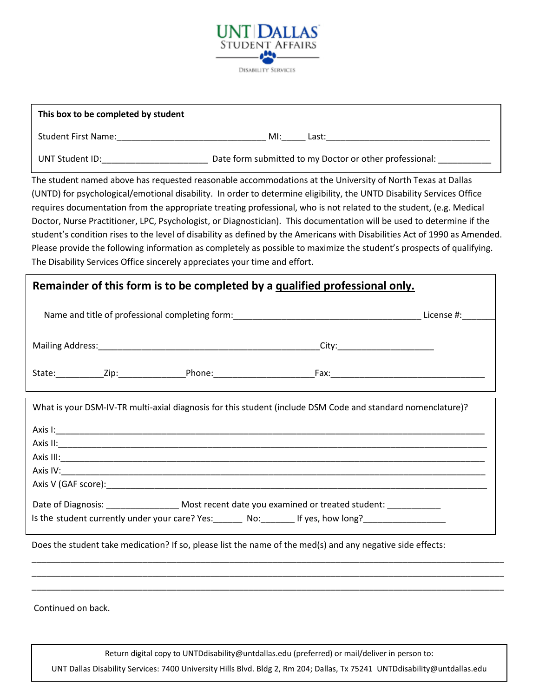

| This box to be completed by student |                                                         |
|-------------------------------------|---------------------------------------------------------|
| <b>Student First Name:</b>          | MI:<br>Last:                                            |
| UNT Student ID:                     | Date form submitted to my Doctor or other professional: |

The student named above has requested reasonable accommodations at the University of North Texas at Dallas (UNTD) for psychological/emotional disability. In order to determine eligibility, the UNTD Disability Services Office requires documentation from the appropriate treating professional, who is not related to the student, (e.g. Medical Doctor, Nurse Practitioner, LPC, Psychologist, or Diagnostician). This documentation will be used to determine if the student's condition rises to the level of disability as defined by the Americans with Disabilities Act of 1990 as Amended. Please provide the following information as completely as possible to maximize the student's prospects of qualifying. The Disability Services Office sincerely appreciates your time and effort.

## **Remainder of this form is to be completed by a qualified professional only.**

| Name and title of professional completing form: ________________________________ |  |                                                                                                             | License #:                     |  |
|----------------------------------------------------------------------------------|--|-------------------------------------------------------------------------------------------------------------|--------------------------------|--|
|                                                                                  |  |                                                                                                             | City:_________________________ |  |
| State:                                                                           |  | zip: Phone:                                                                                                 |                                |  |
|                                                                                  |  | What is your DSM-IV-TR multi-axial diagnosis for this student (include DSM Code and standard nomenclature)? |                                |  |

| Axis II: |                                                                                                                                              |
|----------|----------------------------------------------------------------------------------------------------------------------------------------------|
|          |                                                                                                                                              |
|          |                                                                                                                                              |
|          |                                                                                                                                              |
|          | Date of Diagnosis: Most recent date you examined or treated student:<br>Is the student currently under your care? Yes: No: If yes, how long? |

\_\_\_\_\_\_\_\_\_\_\_\_\_\_\_\_\_\_\_\_\_\_\_\_\_\_\_\_\_\_\_\_\_\_\_\_\_\_\_\_\_\_\_\_\_\_\_\_\_\_\_\_\_\_\_\_\_\_\_\_\_\_\_\_\_\_\_\_\_\_\_\_\_\_\_\_\_\_\_\_\_\_\_\_\_\_\_\_\_\_\_\_\_\_\_\_\_\_ \_\_\_\_\_\_\_\_\_\_\_\_\_\_\_\_\_\_\_\_\_\_\_\_\_\_\_\_\_\_\_\_\_\_\_\_\_\_\_\_\_\_\_\_\_\_\_\_\_\_\_\_\_\_\_\_\_\_\_\_\_\_\_\_\_\_\_\_\_\_\_\_\_\_\_\_\_\_\_\_\_\_\_\_\_\_\_\_\_\_\_\_\_\_\_\_\_\_ \_\_\_\_\_\_\_\_\_\_\_\_\_\_\_\_\_\_\_\_\_\_\_\_\_\_\_\_\_\_\_\_\_\_\_\_\_\_\_\_\_\_\_\_\_\_\_\_\_\_\_\_\_\_\_\_\_\_\_\_\_\_\_\_\_\_\_\_\_\_\_\_\_\_\_\_\_\_\_\_\_\_\_\_\_\_\_\_\_\_\_\_\_\_\_\_\_\_

Does the student take medication? If so, please list the name of the med(s) and any negative side effects:

Continued on back.

Return digital copy to UN[TDdisability@untda](mailto:odadoc@unt.edu)llas.edu (preferred) or mail/deliver in person to:

UNT Dallas Disability Services: 7400 University Hills Blvd. Bldg 2, Rm 204; Dallas, Tx 75241 UNTDdisability@untdallas.edu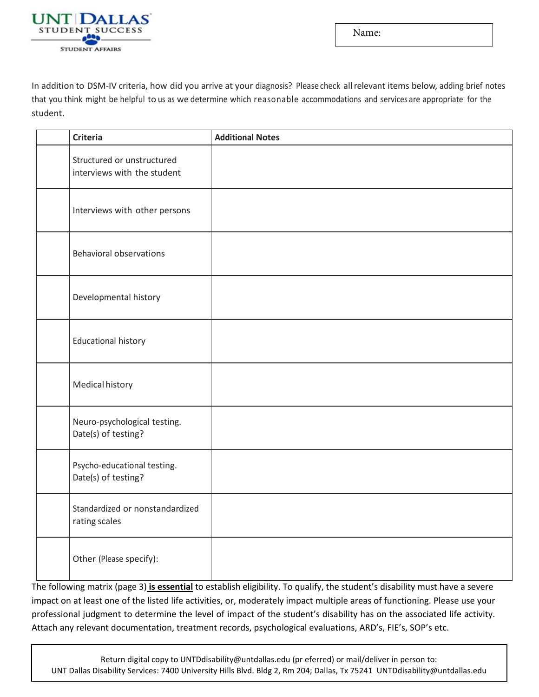

Name:

In addition to DSM-IV criteria, how did you arrive at your diagnosis? Please check allrelevant items below, adding brief notes that you think might be helpful to us as we determine which reasonable accommodations and services are appropriate for the student.

| <b>Criteria</b>                                           | <b>Additional Notes</b> |
|-----------------------------------------------------------|-------------------------|
| Structured or unstructured<br>interviews with the student |                         |
| Interviews with other persons                             |                         |
| <b>Behavioral observations</b>                            |                         |
| Developmental history                                     |                         |
| <b>Educational history</b>                                |                         |
| Medical history                                           |                         |
| Neuro-psychological testing.<br>Date(s) of testing?       |                         |
| Psycho-educational testing.<br>Date(s) of testing?        |                         |
| Standardized or nonstandardized<br>rating scales          |                         |
| Other (Please specify):                                   |                         |

The following matrix (page 3) **is essential** to establish eligibility. To qualify, the student's disability must have a severe impact on at least one of the listed life activities, or, moderately impact multiple areas of functioning. Please use your professional judgment to determine the level of impact of the student's disability has on the associated life activity. Attach any relevant documentation, treatment records, psychological evaluations, ARD's, FIE's, SOP's etc.

Return digital copy to UNT[Ddisability@untda](mailto:odadoc@unt.edu)llas.edu (pr eferred) or mail/deliver in person to: UNT Dallas Disability Services: 7400 University Hills Blvd. Bldg 2, Rm 204; Dallas, Tx 75241 UNTDdisability@untdallas.edu